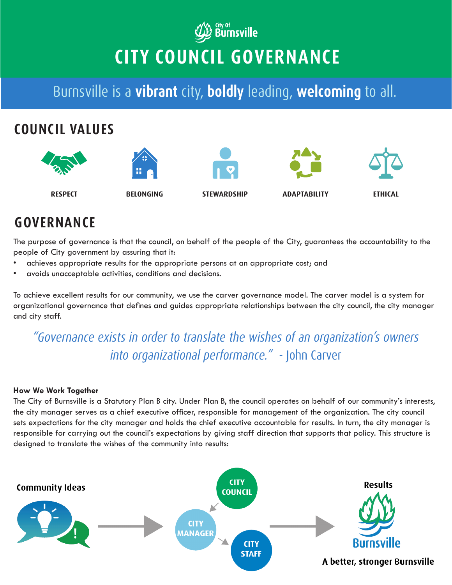# **WE Burnsville CITY COUNCIL GOVERNANCE**

Burnsville is a **vibrant** city, **boldly** leading, **welcoming** to all.



## **GOVERNANCE**

The purpose of governance is that the council, on behalf of the people of the City, guarantees the accountability to the people of City government by assuring that it:

- achieves appropriate results for the appropriate persons at an appropriate cost; and
- avoids unacceptable activities, conditions and decisions.

To achieve excellent results for our community, we use the carver governance model. The carver model is a system for organizational governance that defines and guides appropriate relationships between the city council, the city manager and city staff.

### *"Governance exists in order to translate the wishes of an organization's owners into organizational performance."* - John Carver

#### **How We Work Together**

The City of Burnsville is a Statutory Plan B city. Under Plan B, the council operates on behalf of our community's interests, the city manager serves as a chief executive officer, responsible for management of the organization. The city council sets expectations for the city manager and holds the chief executive accountable for results. In turn, the city manager is responsible for carrying out the council's expectations by giving staff direction that supports that policy. This structure is designed to translate the wishes of the community into results: